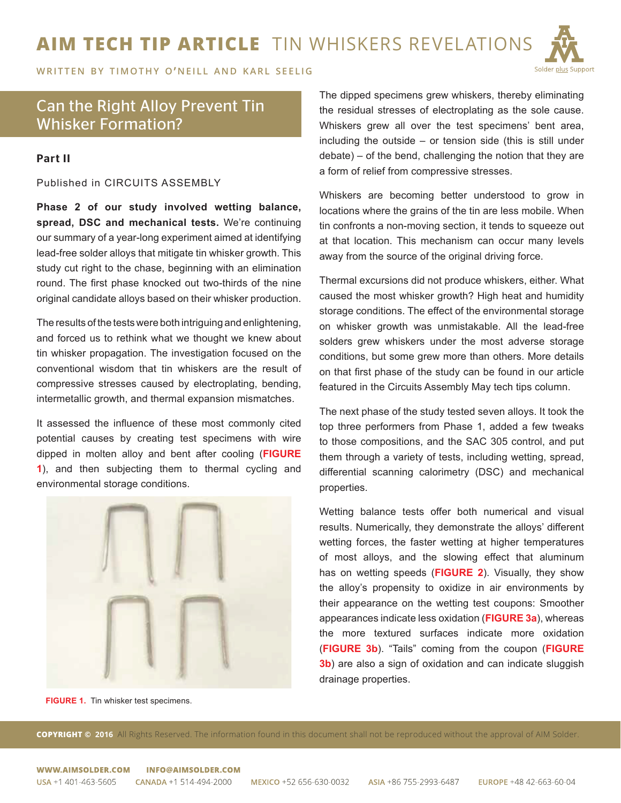## **AIM TECH TIP ARTICLE** TIN WHISKERS REVELATIONS



**WRITTEN BY TIMOTHY O'NEILL AND KARL SEELIG** 

## Can the Right Alloy Prevent Tin Whisker Formation?

## Part II

Published in CIRCUITS ASSEMBLY

**Phase 2 of our study involved wetting balance, spread, DSC and mechanical tests.** We're continuing our summary of a year-long experiment aimed at identifying lead-free solder alloys that mitigate tin whisker growth. This study cut right to the chase, beginning with an elimination round. The first phase knocked out two-thirds of the nine original candidate alloys based on their whisker production.

The results of the tests were both intriguing and enlightening, and forced us to rethink what we thought we knew about tin whisker propagation. The investigation focused on the conventional wisdom that tin whiskers are the result of compressive stresses caused by electroplating, bending, intermetallic growth, and thermal expansion mismatches.

It assessed the influence of these most commonly cited potential causes by creating test specimens with wire dipped in molten alloy and bent after cooling (**FIGURE 1**), and then subjecting them to thermal cycling and environmental storage conditions.



**FIGURE 1.** Tin whisker test specimens.

The dipped specimens grew whiskers, thereby eliminating the residual stresses of electroplating as the sole cause. Whiskers grew all over the test specimens' bent area, including the outside – or tension side (this is still under debate) – of the bend, challenging the notion that they are a form of relief from compressive stresses.

Whiskers are becoming better understood to grow in locations where the grains of the tin are less mobile. When tin confronts a non-moving section, it tends to squeeze out at that location. This mechanism can occur many levels away from the source of the original driving force.

Thermal excursions did not produce whiskers, either. What caused the most whisker growth? High heat and humidity storage conditions. The effect of the environmental storage on whisker growth was unmistakable. All the lead-free solders grew whiskers under the most adverse storage conditions, but some grew more than others. More details on that first phase of the study can be found in our article featured in the [Circuits Assembly May tech tips column](http://circuitsassembly.com/ca/index.php/features-itemid-fix/414-tech-tips/23834-tech-tips).

The next phase of the study tested seven alloys. It took the top three performers from Phase 1, added a few tweaks to those compositions, and the SAC 305 control, and put them through a variety of tests, including wetting, spread, differential scanning calorimetry (DSC) and mechanical properties.

Wetting balance tests offer both numerical and visual results. Numerically, they demonstrate the alloys' different wetting forces, the faster wetting at higher temperatures of most alloys, and the slowing effect that aluminum has on wetting speeds (**FIGURE 2**). Visually, they show the alloy's propensity to oxidize in air environments by their appearance on the wetting test coupons: Smoother appearances indicate less oxidation (**FIGURE 3a**), whereas the more textured surfaces indicate more oxidation (**FIGURE 3b**). "Tails" coming from the coupon (**FIGURE 3b**) are also a sign of oxidation and can indicate sluggish drainage properties.

**COPYRIGHT © 2016** All Rights Reserved. The information found in this document shall not be reproduced without the approval of AIM Solder.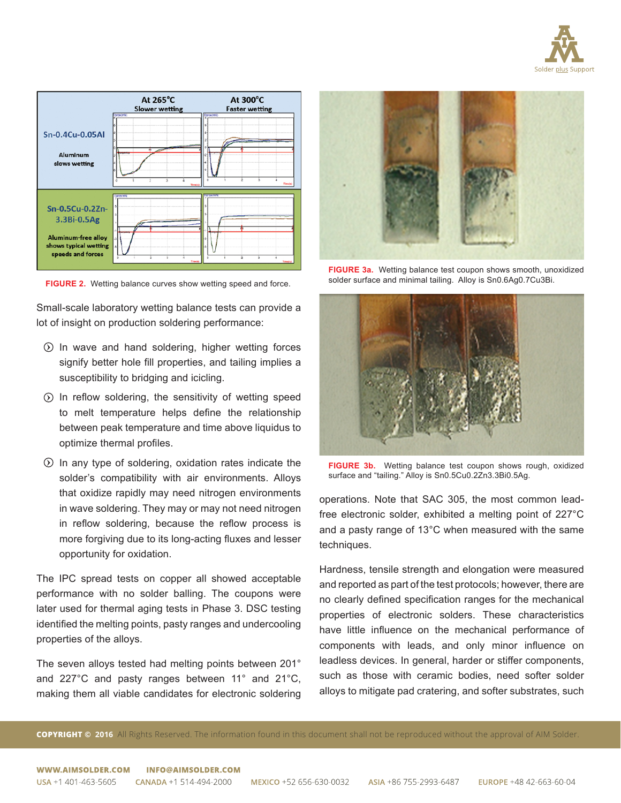



**FIGURE 2.** Wetting balance curves show wetting speed and force.

Small-scale laboratory wetting balance tests can provide a lot of insight on production soldering performance:

- $\odot$  In wave and hand soldering, higher wetting forces signify better hole fill properties, and tailing implies a susceptibility to bridging and icicling.
- $\odot$  In reflow soldering, the sensitivity of wetting speed to melt temperature helps define the relationship between peak temperature and time above liquidus to optimize thermal profiles.
- $\odot$  In any type of soldering, oxidation rates indicate the solder's compatibility with air environments. Alloys that oxidize rapidly may need nitrogen environments in wave soldering. They may or may not need nitrogen in reflow soldering, because the reflow process is more forgiving due to its long-acting fluxes and lesser opportunity for oxidation.

The IPC spread tests on copper all showed acceptable performance with no solder balling. The coupons were later used for thermal aging tests in Phase 3. DSC testing identified the melting points, pasty ranges and undercooling properties of the alloys.

The seven alloys tested had melting points between 201° and 227°C and pasty ranges between 11° and 21°C, making them all viable candidates for electronic soldering



**FIGURE 3a.** Wetting balance test coupon shows smooth, unoxidized solder surface and minimal tailing. Alloy is Sn0.6Ag0.7Cu3Bi.



**FIGURE 3b.** Wetting balance test coupon shows rough, oxidized surface and "tailing." Alloy is Sn0.5Cu0.2Zn3.3Bi0.5Ag.

operations. Note that SAC 305, the most common leadfree electronic solder, exhibited a melting point of 227°C and a pasty range of 13°C when measured with the same techniques.

Hardness, tensile strength and elongation were measured and reported as part of the test protocols; however, there are no clearly defined specification ranges for the mechanical properties of electronic solders. These characteristics have little influence on the mechanical performance of components with leads, and only minor influence on leadless devices. In general, harder or stiffer components, such as those with ceramic bodies, need softer solder alloys to mitigate pad cratering, and softer substrates, such

**COPYRIGHT © 2016** All Rights Reserved. The information found in this document shall not be reproduced without the approval of AIM Solder.

WWW.AIMSOLDER.COM **INFO@AIMSOLDER.COM**